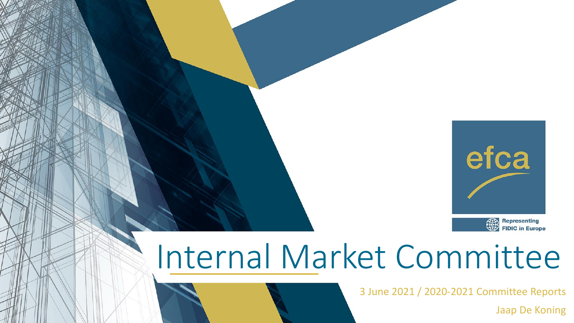

## Internal Market Committee

3 June 2021 / 2020-2021 Committee Reports

Jaap De Koning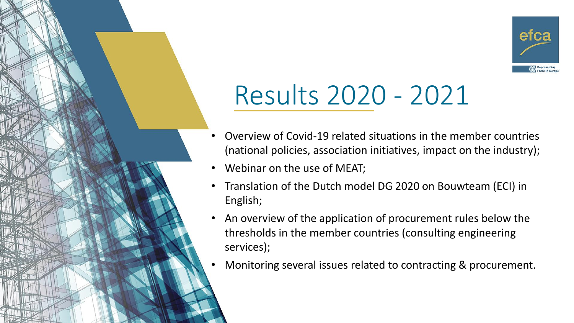

## Results 2020 - 2021

- Overview of Covid-19 related situations in the member countries (national policies, association initiatives, impact on the industry);
- Webinar on the use of MEAT;
- Translation of the Dutch model DG 2020 on Bouwteam (ECI) in English;
- An overview of the application of procurement rules below the thresholds in the member countries (consulting engineering services);
- Monitoring several issues related to contracting & procurement.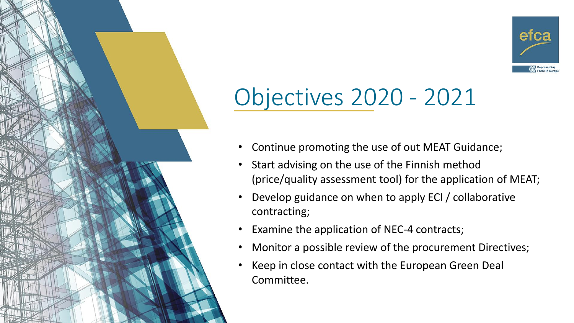

## Objectives 2020 - 2021

- Continue promoting the use of out MEAT Guidance;
- Start advising on the use of the Finnish method (price/quality assessment tool) for the application of MEAT;
- Develop guidance on when to apply ECI / collaborative contracting;
- Examine the application of NEC-4 contracts;
- Monitor a possible review of the procurement Directives;
- Keep in close contact with the European Green Deal Committee.